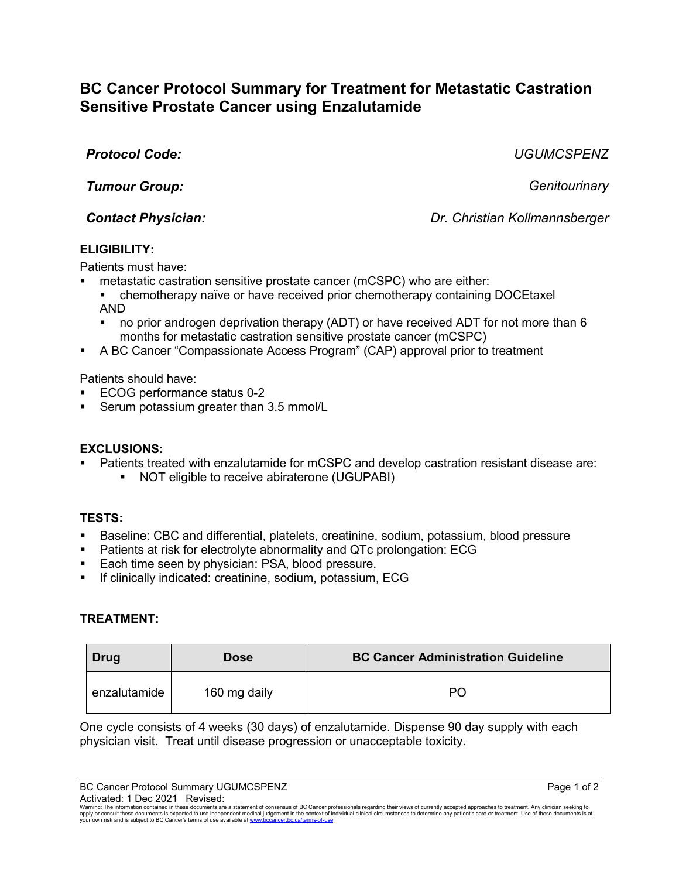# **BC Cancer Protocol Summary for Treatment for Metastatic Castration Sensitive Prostate Cancer using Enzalutamide**

*Protocol Code: UGUMCSPENZ*

*Tumour Group: Genitourinary*

*Contact Physician: Dr. Christian Kollmannsberger*

## **ELIGIBILITY:**

Patients must have:

- metastatic castration sensitive prostate cancer (mCSPC) who are either:
	- chemotherapy naïve or have received prior chemotherapy containing DOCEtaxel AND
	- no prior androgen deprivation therapy (ADT) or have received ADT for not more than 6 months for metastatic castration sensitive prostate cancer (mCSPC)
- A BC Cancer "Compassionate Access Program" (CAP) approval prior to treatment

Patients should have:

- ECOG performance status 0-2
- Serum potassium greater than 3.5 mmol/L

## **EXCLUSIONS:**

- Patients treated with enzalutamide for mCSPC and develop castration resistant disease are:
	- **NOT** eligible to receive abiraterone (UGUPABI)

## **TESTS:**

- Baseline: CBC and differential, platelets, creatinine, sodium, potassium, blood pressure
- Patients at risk for electrolyte abnormality and QTc prolongation: ECG
- **Each time seen by physician: PSA, blood pressure.**
- If clinically indicated: creatinine, sodium, potassium, ECG

## **TREATMENT:**

| Drug         | <b>Dose</b>  | <b>BC Cancer Administration Guideline</b> |
|--------------|--------------|-------------------------------------------|
| enzalutamide | 160 mg daily | PС                                        |

One cycle consists of 4 weeks (30 days) of enzalutamide. Dispense 90 day supply with each physician visit. Treat until disease progression or unacceptable toxicity.

BC Cancer Protocol Summary UGUMCSPENZ **Page 1 of 2** Page 1 of 2 Activated: 1 Dec 2021 Revised:

Warning: The information contained in these documents are a statement of consensus of BC Cancer professionals regarding their views of currently accepted approaches to treatment. Any clinician seeking to<br>apply or consult t